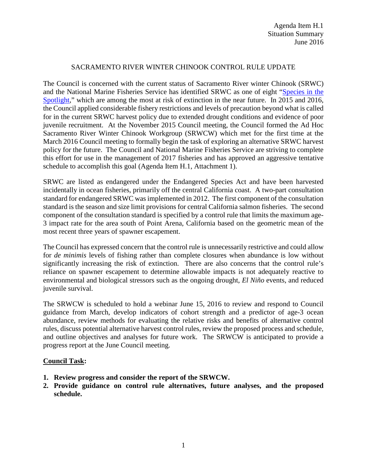## SACRAMENTO RIVER WINTER CHINOOK CONTROL RULE UPDATE

The Council is concerned with the current status of Sacramento River winter Chinook (SRWC) and the National Marine Fisheries Service has identified SRWC as one of eight ["Species in the](http://www.nmfs.noaa.gov/stories/2015/05/05_14_15species_in_the_spotlight.html)  [Spotlight,](http://www.nmfs.noaa.gov/stories/2015/05/05_14_15species_in_the_spotlight.html)" which are among the most at risk of extinction in the near future. In 2015 and 2016, the Council applied considerable fishery restrictions and levels of precaution beyond what is called for in the current SRWC harvest policy due to extended drought conditions and evidence of poor juvenile recruitment. At the November 2015 Council meeting, the Council formed the Ad Hoc Sacramento River Winter Chinook Workgroup (SRWCW) which met for the first time at the March 2016 Council meeting to formally begin the task of exploring an alternative SRWC harvest policy for the future. The Council and National Marine Fisheries Service are striving to complete this effort for use in the management of 2017 fisheries and has approved an aggressive tentative schedule to accomplish this goal (Agenda Item H.1, Attachment 1).

SRWC are listed as endangered under the Endangered Species Act and have been harvested incidentally in ocean fisheries, primarily off the central California coast. A two-part consultation standard for endangered SRWC was implemented in 2012. The first component of the consultation standard is the season and size limit provisions for central California salmon fisheries. The second component of the consultation standard is specified by a control rule that limits the maximum age-3 impact rate for the area south of Point Arena, California based on the geometric mean of the most recent three years of spawner escapement.

The Council has expressed concern that the control rule is unnecessarily restrictive and could allow for *de minimis* levels of fishing rather than complete closures when abundance is low without significantly increasing the risk of extinction. There are also concerns that the control rule's reliance on spawner escapement to determine allowable impacts is not adequately reactive to environmental and biological stressors such as the ongoing drought, *El Niño* events, and reduced juvenile survival.

The SRWCW is scheduled to hold a webinar June 15, 2016 to review and respond to Council guidance from March, develop indicators of cohort strength and a predictor of age-3 ocean abundance, review methods for evaluating the relative risks and benefits of alternative control rules, discuss potential alternative harvest control rules, review the proposed process and schedule, and outline objectives and analyses for future work. The SRWCW is anticipated to provide a progress report at the June Council meeting.

## **Council Task:**

- **1. Review progress and consider the report of the SRWCW.**
- **2. Provide guidance on control rule alternatives, future analyses, and the proposed schedule.**